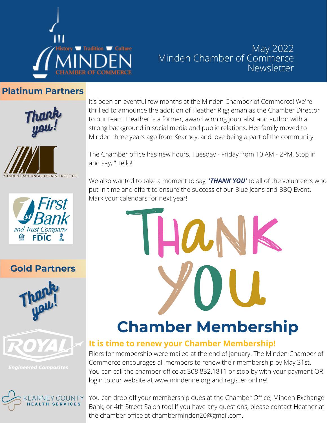

#### May 2022 Minden Chamber of Commerce **Newsletter**

#### **Platinum Partners**







#### **Gold Partners**







It's been an eventful few months at the Minden Chamber of Commerce! We're thrilled to announce the addition of Heather Riggleman as the Chamber Director to our team. Heather is a former, award winning journalist and author with a strong background in social media and public relations. Her family moved to Minden three years ago from Kearney, and love being a part of the community.

The Chamber office has new hours. Tuesday - Friday from 10 AM - 2PM. Stop in and say, "Hello!"

We also wanted to take a moment to say, **'***THANK YOU'* to all of the volunteers who put in time and effort to ensure the success of our Blue Jeans and BBQ Event. Mark your calendars for next year!

> IHANK **Chamber Membership**

## **It is time to renew your Chamber Membership!**

Fliers for membership were mailed at the end of January. The Minden Chamber of Commerce encourages all members to renew their membership by May 31st. You can call the chamber office at 308.832.1811 or stop by with your payment OR login to our website at www.mindenne.org and register online!

You can drop off your membership dues at the Chamber Office, Minden Exchange Bank, or 4th Street Salon too! If you have any questions, please contact Heather at the chamber office at [chamberminden20@gmail.com.](mailto:chamberminden20@gmail.com)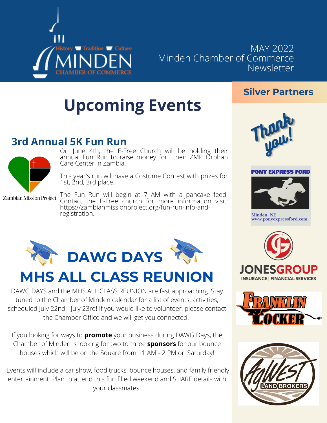

MAY 2022 Minden Chamber of Commerce Newsletter

# **Upcoming Events**

## **3rd Annual 5K Fun Run**



On June 4th, the E-Free Church will be holding their annual Fun Run to raise money for their ZMP Orphan Care Center in Zambia.

This year's run will have a Costume Contest with prizes for 1st, 2nd, 3rd place.

Zambian Mission Project

The Fun Run will begin at 7 AM with a pancake feed! Contact the E-Free church for more information visit: https://zambianmissionproject.org/fun-run-info-andregistration.



## **MHS ALL CLASS REUNION**

DAWG DAYS and the MHS ALL CLASS REUNION are fast approaching. Stay tuned to the Chamber of Minden calendar for a list of events, activities, scheduled July 22nd - July 23rd! If you would like to volunteer, please contact the Chamber Office and we will get you connected.

If you looking for ways to **promote** your business during DAWG Days, the Chamber of Minden is looking for two to three **sponsors** for our bounce houses which will be on the Square from 11 AM - 2 PM on Saturday!

Events will include a car show, food trucks, bounce houses, and family friendly entertainment. Plan to attend this fun filled weekend and SHARE details with your classmates!



**Silver Partners**

#### **PONY EXPRESS FORD**



Minden, NE www.ponyexpressford.com





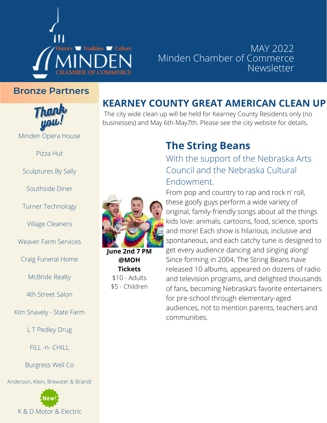

#### MAY 2022 Minden Chamber of Commerce Newsletter

#### **Bronze Partners**



Pizza Hut

Sculptures By Sally

Southside Diner

Turner Technology

Village Cleaners

Weaver Farm Services

Craig Funeral Home

McBride Realty

4th Street Salon

Kim Snavely - State Farm

L T Pedley Drug

FILL -n- CHILL

Burgress Well Co

. Anderson, Klein, Brewster & Brandt



## **KEARNEY COUNTY GREAT AMERICAN CLEAN UP**

The city wide clean up will be held for Kearney County Residents only (no businesses) and May 6th-May7th. Please see the city website for details.

### **The String Beans**

With the support of the Nebraska Arts Council and the Nebraska Cultural Endowment.



**June 2nd 7 PM @MOH Tickets** \$10 - Adults \$5 - Children

From pop and country to rap and rock n' roll, these goofy guys perform a wide variety of original, family-friendly songs about all the things kids love: animals, cartoons, food, science, sports and more! Each show is hilarious, inclusive and spontaneous, and each catchy tune is designed to get every audience dancing and singing along! Since forming in 2004, The String Beans have released 10 albums, appeared on dozens of radio and television programs, and delighted thousands of fans, becoming Nebraska's favorite entertainers for pre-school through elementary-aged audiences, not to mention parents, teachers and communities.